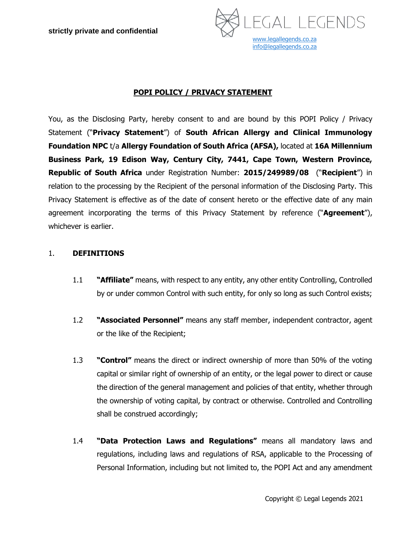

# **POPI POLICY / PRIVACY STATEMENT**

You, as the Disclosing Party, hereby consent to and are bound by this POPI Policy / Privacy Statement ("**Privacy Statement**") of **South African Allergy and Clinical Immunology Foundation NPC** t/a **Allergy Foundation of South Africa (AFSA),** located at **16A Millennium Business Park, 19 Edison Way, Century City, 7441, Cape Town, Western Province, Republic of South Africa** under Registration Number: **2015/249989/08** ("**Recipient**") in relation to the processing by the Recipient of the personal information of the Disclosing Party. This Privacy Statement is effective as of the date of consent hereto or the effective date of any main agreement incorporating the terms of this Privacy Statement by reference ("**Agreement**"), whichever is earlier.

#### 1. **DEFINITIONS**

- 1.1 **"Affiliate"** means, with respect to any entity, any other entity Controlling, Controlled by or under common Control with such entity, for only so long as such Control exists;
- 1.2 **"Associated Personnel"** means any staff member, independent contractor, agent or the like of the Recipient;
- 1.3 **"Control"** means the direct or indirect ownership of more than 50% of the voting capital or similar right of ownership of an entity, or the legal power to direct or cause the direction of the general management and policies of that entity, whether through the ownership of voting capital, by contract or otherwise. Controlled and Controlling shall be construed accordingly;
- 1.4 **"Data Protection Laws and Regulations"** means all mandatory laws and regulations, including laws and regulations of RSA, applicable to the Processing of Personal Information, including but not limited to, the POPI Act and any amendment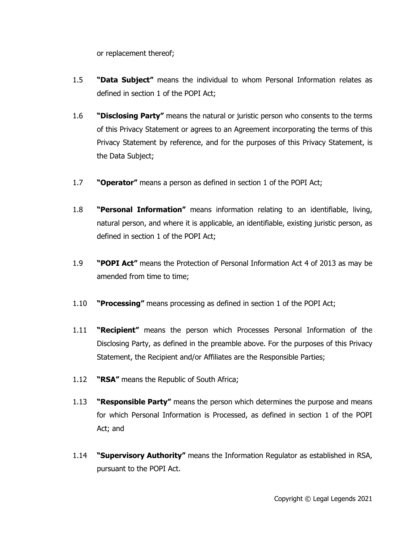or replacement thereof;

- 1.5 **"Data Subject"** means the individual to whom Personal Information relates as defined in section 1 of the POPI Act;
- 1.6 **"Disclosing Party"** means the natural or juristic person who consents to the terms of this Privacy Statement or agrees to an Agreement incorporating the terms of this Privacy Statement by reference, and for the purposes of this Privacy Statement, is the Data Subject;
- 1.7 **"Operator"** means a person as defined in section 1 of the POPI Act;
- 1.8 **"Personal Information"** means information relating to an identifiable, living, natural person, and where it is applicable, an identifiable, existing juristic person, as defined in section 1 of the POPI Act;
- 1.9 **"POPI Act"** means the Protection of Personal Information Act 4 of 2013 as may be amended from time to time;
- 1.10 **"Processing"** means processing as defined in section 1 of the POPI Act;
- 1.11 **"Recipient"** means the person which Processes Personal Information of the Disclosing Party, as defined in the preamble above. For the purposes of this Privacy Statement, the Recipient and/or Affiliates are the Responsible Parties;
- 1.12 **"RSA"** means the Republic of South Africa;
- 1.13 **"Responsible Party"** means the person which determines the purpose and means for which Personal Information is Processed, as defined in section 1 of the POPI Act; and
- 1.14 **"Supervisory Authority"** means the Information Regulator as established in RSA, pursuant to the POPI Act.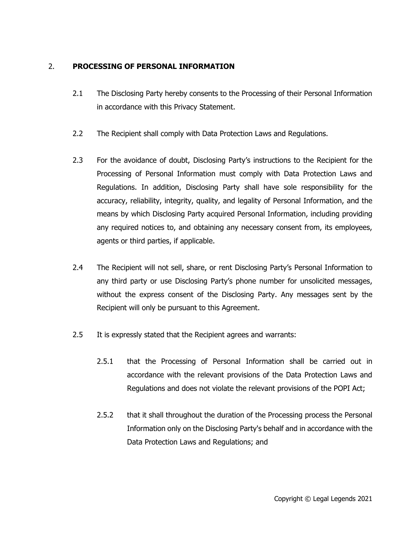### 2. **PROCESSING OF PERSONAL INFORMATION**

- 2.1 The Disclosing Party hereby consents to the Processing of their Personal Information in accordance with this Privacy Statement.
- 2.2 The Recipient shall comply with Data Protection Laws and Regulations.
- 2.3 For the avoidance of doubt, Disclosing Party's instructions to the Recipient for the Processing of Personal Information must comply with Data Protection Laws and Regulations. In addition, Disclosing Party shall have sole responsibility for the accuracy, reliability, integrity, quality, and legality of Personal Information, and the means by which Disclosing Party acquired Personal Information, including providing any required notices to, and obtaining any necessary consent from, its employees, agents or third parties, if applicable.
- 2.4 The Recipient will not sell, share, or rent Disclosing Party's Personal Information to any third party or use Disclosing Party's phone number for unsolicited messages, without the express consent of the Disclosing Party. Any messages sent by the Recipient will only be pursuant to this Agreement.
- 2.5 It is expressly stated that the Recipient agrees and warrants:
	- 2.5.1 that the Processing of Personal Information shall be carried out in accordance with the relevant provisions of the Data Protection Laws and Regulations and does not violate the relevant provisions of the POPI Act;
	- 2.5.2 that it shall throughout the duration of the Processing process the Personal Information only on the Disclosing Party's behalf and in accordance with the Data Protection Laws and Regulations; and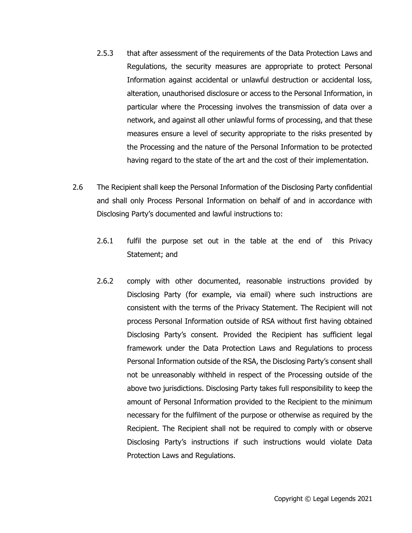- 2.5.3 that after assessment of the requirements of the Data Protection Laws and Regulations, the security measures are appropriate to protect Personal Information against accidental or unlawful destruction or accidental loss, alteration, unauthorised disclosure or access to the Personal Information, in particular where the Processing involves the transmission of data over a network, and against all other unlawful forms of processing, and that these measures ensure a level of security appropriate to the risks presented by the Processing and the nature of the Personal Information to be protected having regard to the state of the art and the cost of their implementation.
- 2.6 The Recipient shall keep the Personal Information of the Disclosing Party confidential and shall only Process Personal Information on behalf of and in accordance with Disclosing Party's documented and lawful instructions to:
	- 2.6.1 fulfil the purpose set out in the table at the end of this Privacy Statement; and
	- 2.6.2 comply with other documented, reasonable instructions provided by Disclosing Party (for example, via email) where such instructions are consistent with the terms of the Privacy Statement. The Recipient will not process Personal Information outside of RSA without first having obtained Disclosing Party's consent. Provided the Recipient has sufficient legal framework under the Data Protection Laws and Regulations to process Personal Information outside of the RSA, the Disclosing Party's consent shall not be unreasonably withheld in respect of the Processing outside of the above two jurisdictions. Disclosing Party takes full responsibility to keep the amount of Personal Information provided to the Recipient to the minimum necessary for the fulfilment of the purpose or otherwise as required by the Recipient. The Recipient shall not be required to comply with or observe Disclosing Party's instructions if such instructions would violate Data Protection Laws and Regulations.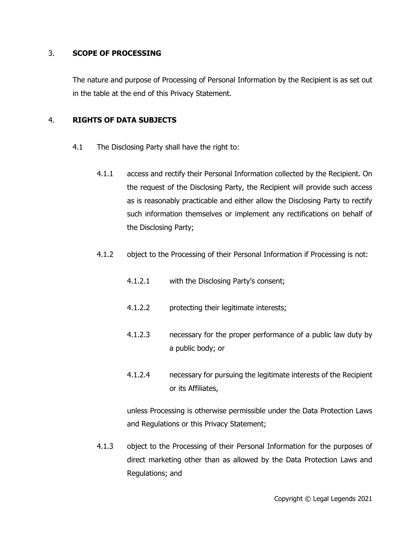#### 3. **SCOPE OF PROCESSING**

The nature and purpose of Processing of Personal Information by the Recipient is as set out in the table at the end of this Privacy Statement.

#### 4. **RIGHTS OF DATA SUBJECTS**

- 4.1 The Disclosing Party shall have the right to:
	- 4.1.1 access and rectify their Personal Information collected by the Recipient. On the request of the Disclosing Party, the Recipient will provide such access as is reasonably practicable and either allow the Disclosing Party to rectify such information themselves or implement any rectifications on behalf of the Disclosing Party;
	- 4.1.2 object to the Processing of their Personal Information if Processing is not:
		- 4.1.2.1 with the Disclosing Party's consent;
		- 4.1.2.2 protecting their legitimate interests;
		- 4.1.2.3 necessary for the proper performance of a public law duty by a public body; or
		- 4.1.2.4 necessary for pursuing the legitimate interests of the Recipient or its Affiliates,

unless Processing is otherwise permissible under the Data Protection Laws and Regulations or this Privacy Statement;

4.1.3 object to the Processing of their Personal Information for the purposes of direct marketing other than as allowed by the Data Protection Laws and Regulations; and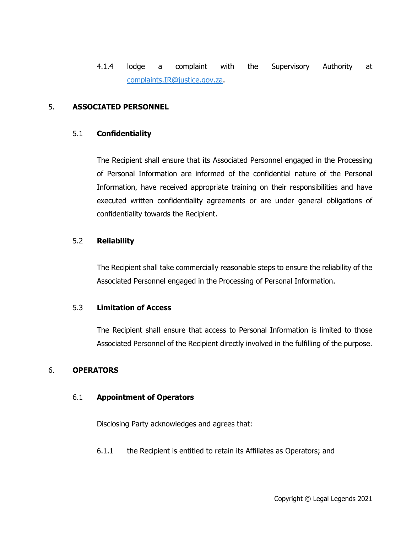4.1.4 lodge a complaint with the Supervisory Authority at [complaints.IR@justice.gov.za.](mailto:complaints.IR@justice.gov.za)

#### 5. **ASSOCIATED PERSONNEL**

#### 5.1 **Confidentiality**

The Recipient shall ensure that its Associated Personnel engaged in the Processing of Personal Information are informed of the confidential nature of the Personal Information, have received appropriate training on their responsibilities and have executed written confidentiality agreements or are under general obligations of confidentiality towards the Recipient.

#### 5.2 **Reliability**

The Recipient shall take commercially reasonable steps to ensure the reliability of the Associated Personnel engaged in the Processing of Personal Information.

#### 5.3 **Limitation of Access**

The Recipient shall ensure that access to Personal Information is limited to those Associated Personnel of the Recipient directly involved in the fulfilling of the purpose.

#### 6. **OPERATORS**

#### 6.1 **Appointment of Operators**

Disclosing Party acknowledges and agrees that:

6.1.1 the Recipient is entitled to retain its Affiliates as Operators; and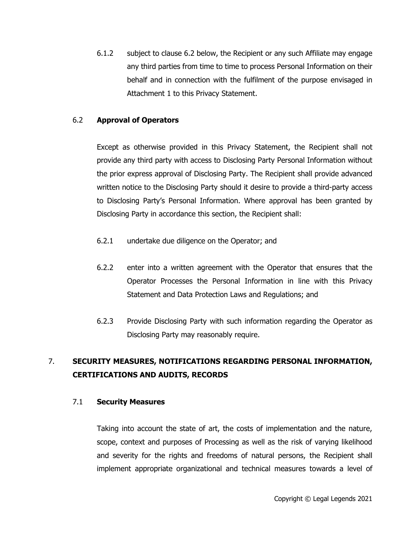6.1.2 subject to clause [6.2](#page-6-0) below, the Recipient or any such Affiliate may engage any third parties from time to time to process Personal Information on their behalf and in connection with the fulfilment of the purpose envisaged in Attachment 1 to this Privacy Statement.

#### <span id="page-6-0"></span>6.2 **Approval of Operators**

Except as otherwise provided in this Privacy Statement, the Recipient shall not provide any third party with access to Disclosing Party Personal Information without the prior express approval of Disclosing Party. The Recipient shall provide advanced written notice to the Disclosing Party should it desire to provide a third-party access to Disclosing Party's Personal Information. Where approval has been granted by Disclosing Party in accordance this section, the Recipient shall:

- 6.2.1 undertake due diligence on the Operator; and
- 6.2.2 enter into a written agreement with the Operator that ensures that the Operator Processes the Personal Information in line with this Privacy Statement and Data Protection Laws and Regulations; and
- 6.2.3 Provide Disclosing Party with such information regarding the Operator as Disclosing Party may reasonably require.

# 7. **SECURITY MEASURES, NOTIFICATIONS REGARDING PERSONAL INFORMATION, CERTIFICATIONS AND AUDITS, RECORDS**

#### 7.1 **Security Measures**

Taking into account the state of art, the costs of implementation and the nature, scope, context and purposes of Processing as well as the risk of varying likelihood and severity for the rights and freedoms of natural persons, the Recipient shall implement appropriate organizational and technical measures towards a level of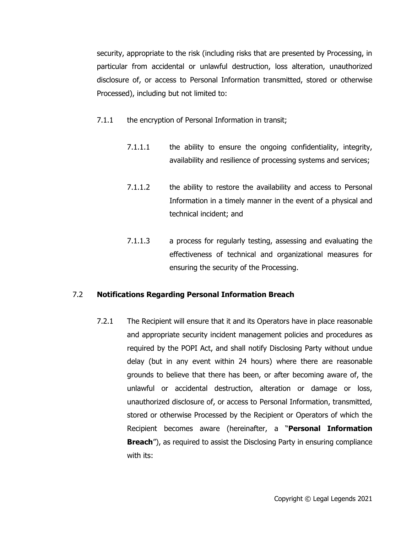security, appropriate to the risk (including risks that are presented by Processing, in particular from accidental or unlawful destruction, loss alteration, unauthorized disclosure of, or access to Personal Information transmitted, stored or otherwise Processed), including but not limited to:

- 7.1.1 the encryption of Personal Information in transit;
	- 7.1.1.1 the ability to ensure the ongoing confidentiality, integrity, availability and resilience of processing systems and services;
	- 7.1.1.2 the ability to restore the availability and access to Personal Information in a timely manner in the event of a physical and technical incident; and
	- 7.1.1.3 a process for regularly testing, assessing and evaluating the effectiveness of technical and organizational measures for ensuring the security of the Processing.

# 7.2 **Notifications Regarding Personal Information Breach**

7.2.1 The Recipient will ensure that it and its Operators have in place reasonable and appropriate security incident management policies and procedures as required by the POPI Act, and shall notify Disclosing Party without undue delay (but in any event within 24 hours) where there are reasonable grounds to believe that there has been, or after becoming aware of, the unlawful or accidental destruction, alteration or damage or loss, unauthorized disclosure of, or access to Personal Information, transmitted, stored or otherwise Processed by the Recipient or Operators of which the Recipient becomes aware (hereinafter, a "**Personal Information Breach**"), as required to assist the Disclosing Party in ensuring compliance with its: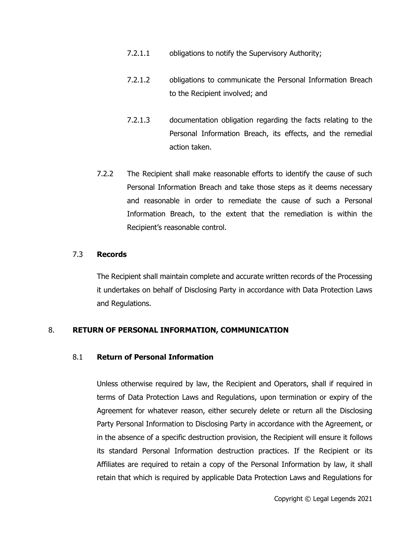- 7.2.1.1 obligations to notify the Supervisory Authority;
- 7.2.1.2 obligations to communicate the Personal Information Breach to the Recipient involved; and
- 7.2.1.3 documentation obligation regarding the facts relating to the Personal Information Breach, its effects, and the remedial action taken.
- 7.2.2 The Recipient shall make reasonable efforts to identify the cause of such Personal Information Breach and take those steps as it deems necessary and reasonable in order to remediate the cause of such a Personal Information Breach, to the extent that the remediation is within the Recipient's reasonable control.

#### 7.3 **Records**

The Recipient shall maintain complete and accurate written records of the Processing it undertakes on behalf of Disclosing Party in accordance with Data Protection Laws and Regulations.

# 8. **RETURN OF PERSONAL INFORMATION, COMMUNICATION**

#### 8.1 **Return of Personal Information**

Unless otherwise required by law, the Recipient and Operators, shall if required in terms of Data Protection Laws and Regulations, upon termination or expiry of the Agreement for whatever reason, either securely delete or return all the Disclosing Party Personal Information to Disclosing Party in accordance with the Agreement, or in the absence of a specific destruction provision, the Recipient will ensure it follows its standard Personal Information destruction practices. If the Recipient or its Affiliates are required to retain a copy of the Personal Information by law, it shall retain that which is required by applicable Data Protection Laws and Regulations for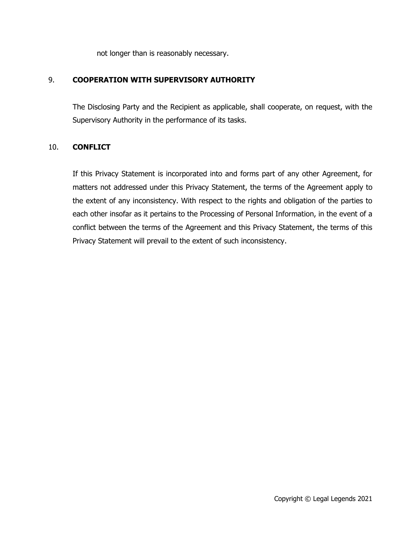not longer than is reasonably necessary.

### 9. **COOPERATION WITH SUPERVISORY AUTHORITY**

The Disclosing Party and the Recipient as applicable, shall cooperate, on request, with the Supervisory Authority in the performance of its tasks.

#### 10. **CONFLICT**

If this Privacy Statement is incorporated into and forms part of any other Agreement, for matters not addressed under this Privacy Statement, the terms of the Agreement apply to the extent of any inconsistency. With respect to the rights and obligation of the parties to each other insofar as it pertains to the Processing of Personal Information, in the event of a conflict between the terms of the Agreement and this Privacy Statement, the terms of this Privacy Statement will prevail to the extent of such inconsistency.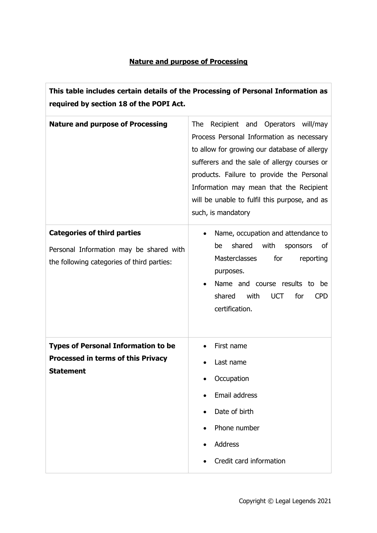# **Nature and purpose of Processing**

 $\overline{1}$ 

| This table includes certain details of the Processing of Personal Information as<br>required by section 18 of the POPI Act. |                                                                                                                                                                                                                                                                                                                                                            |
|-----------------------------------------------------------------------------------------------------------------------------|------------------------------------------------------------------------------------------------------------------------------------------------------------------------------------------------------------------------------------------------------------------------------------------------------------------------------------------------------------|
| <b>Nature and purpose of Processing</b>                                                                                     | <b>The</b><br>Recipient and Operators will/may<br>Process Personal Information as necessary<br>to allow for growing our database of allergy<br>sufferers and the sale of allergy courses or<br>products. Failure to provide the Personal<br>Information may mean that the Recipient<br>will be unable to fulfil this purpose, and as<br>such, is mandatory |
| <b>Categories of third parties</b><br>Personal Information may be shared with<br>the following categories of third parties: | Name, occupation and attendance to<br>shared<br>with<br>be<br>sponsors<br>οf<br><b>Masterclasses</b><br>for<br>reporting<br>purposes.<br>Name and course results to<br>be<br>for<br>shared<br>with<br><b>UCT</b><br><b>CPD</b><br>certification.                                                                                                           |
| <b>Types of Personal Information to be</b><br><b>Processed in terms of this Privacy</b><br>Statement                        | First name<br>Last name<br>Occupation<br>Email address<br>Date of birth<br>Phone number<br>Address<br>Credit card information                                                                                                                                                                                                                              |

h